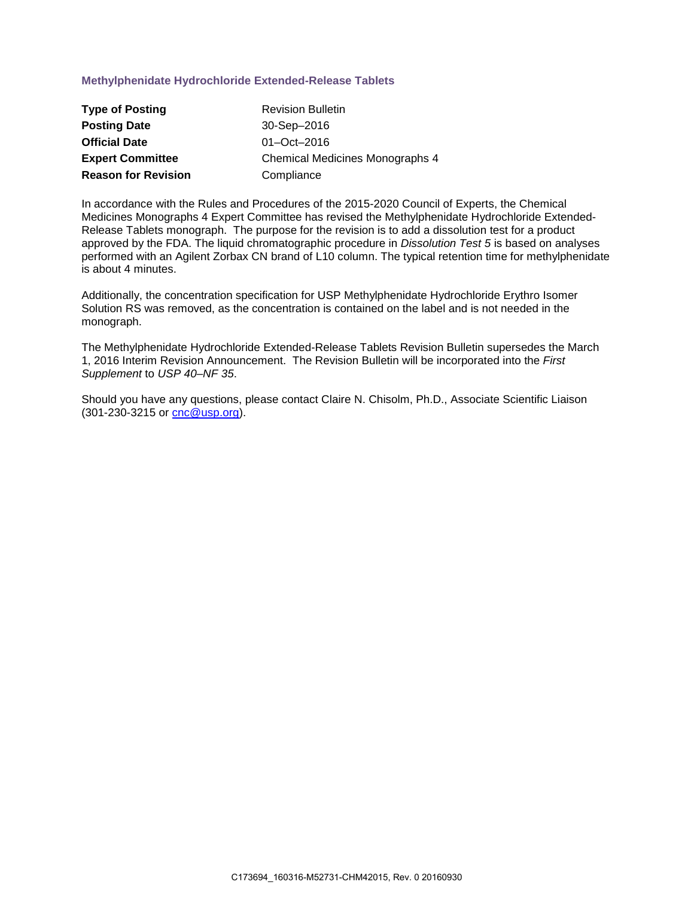## **Methylphenidate Hydrochloride Extended-Release Tablets**

| <b>Type of Posting</b>     | <b>Revision Bulletin</b>        |
|----------------------------|---------------------------------|
| <b>Posting Date</b>        | 30-Sep-2016                     |
| <b>Official Date</b>       | $01 - Oct - 2016$               |
| <b>Expert Committee</b>    | Chemical Medicines Monographs 4 |
| <b>Reason for Revision</b> | Compliance                      |

In accordance with the Rules and Procedures of the 2015-2020 Council of Experts, the Chemical Medicines Monographs 4 Expert Committee has revised the Methylphenidate Hydrochloride Extended-Release Tablets monograph. The purpose for the revision is to add a dissolution test for a product approved by the FDA. The liquid chromatographic procedure in *Dissolution Test 5* is based on analyses performed with an Agilent Zorbax CN brand of L10 column. The typical retention time for methylphenidate is about 4 minutes.

Additionally, the concentration specification for USP Methylphenidate Hydrochloride Erythro Isomer Solution RS was removed, as the concentration is contained on the label and is not needed in the monograph.

The Methylphenidate Hydrochloride Extended-Release Tablets Revision Bulletin supersedes the March 1, 2016 Interim Revision Announcement. The Revision Bulletin will be incorporated into the *First Supplement* to *USP 40–NF 35*.

Should you have any questions, please contact Claire N. Chisolm, Ph.D., Associate Scientific Liaison (301-230-3215 or [cnc@usp.org\)](mailto:cnc@usp.org).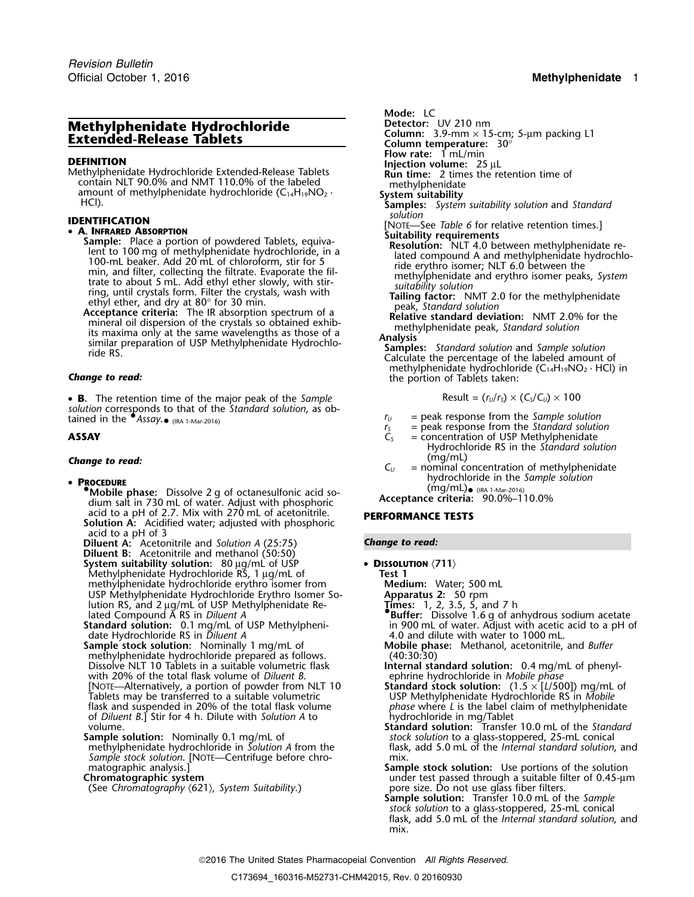# **Methylphenidate Hydrochloride Detector:** UV 210 nm<br>**Extended Belesse Tablets Detector:** Column: 3.9-mm × 15-cm; 5-µm packing L1 **Extended-Release Tablets Column:** 3.9-mm × 15-cm; 5.5-pm **× 15-cm**<br>
Flow rate: 1 mL/min

**FLOW FINITION**<br> **FLOW PROPERTY IS NOT THE DEFINITION**<br> **FLOW RUN LIME:** 2 times the retention time of Methylphenidate Hydrochloride Extended-Release Tablets contain NLT 90.0% and NMT 110.0% of the labeled contain NLT 90.0% and NMT 110.0% of the labeled<br>amount of methylphenidate hydrochloride (C<sub>14</sub>H<sub>19</sub>NO<sub>2</sub> · **System suitability solution** and *Standard*<br>HCl). **Samples:** *System suitability solution*<br>solution solution

• **A. INFRARED ABSORPTION**<br>
Sample: Place a portion of powdered Tablets, equiva-<br>
lent to 100 mg of methylphenidate hydrochloride, in a<br>
lated compound A and methylphenidate hydrochloride, in a<br>
lated compound A and Tablet

• **B**. The retention time of the major peak of the *Sample* Result =  $(r_v/r_s) \times (C_s/C_v) \times 100$ *solution* corresponds to that of the *Standard solution*, as obtained in the  $\bullet$  Assay. $\bullet$  (IRA 1-Mar-2016)

### **PROCEDURE**

- **•** (mg/mL)•**.Mobile phase:** Dissolve 2 g of octanesulfonic acid sodium salt in 730 mL of water. Adjust with phosphoric acid to a pH of 2.7. Mix with 270 mL of acetonitrile. acid to a pH of 2.7. Mix with 270 mL of acetonitrile. **PERFORMANCE TESTS Solution A:** Acidified water; adjusted with phosphoric acid to a pH of 3
- **Diluent A:** Acetonitrile and *Solution A* (25:75) *Change to read:* **Diluent B:** Acetonitrile and methanol (50:50) **System suitability solution:** 80 µg/mL of USP • **DISSOLUTION** 〈**711**〉 Methylphenidate Hydrochloride RS, 1 µg/mL of **Test 1** methylphenidate hydrochloride erythro isomer from **Medium:** Water; 500 mL

USP Methylphenidate Hydrochloride Erythro Isomer So-<br>Iution RS, and 2 ug/mL of USP Methylphenidate Re-<br>Innes: 1, 2, 3.5, 5, and 7 h<br>Innes: 1, 2, 3.5, 5, and 7 h lution RS, and 2 µg/mL of USP Methylphenidate Related Compound A RS in *Diluent A* 

**Standard solution:** 0.1 mg/mL of USP Methylpheni-<br>date Hydrochloride RS in *Diluent A* date Hydrochloride RS in *Diluent A* 4.0 and dilute with water to 1000 mL.<br> **Sample stock solution:** Nominally 1 mg/mL of **All Mobile phase:** Methanol, acetonitrile,

methylphenidate hydrochloride prepared as follows.<br>
Dissolve NLT 10 Tablets in a suitable volumetric flask **heating internal standard solution:** 0.4 mg/mL of phenyl-Dissolve NLT 10 Tablets in a suitable volumetric flask **Internal standard solution:** 0.4 mg/m<br>with 20% of the total flask volume of *Diluent B*. The ephrine hydrochloride in *Mobile phase* with 20% of the total flask volume of *Diluent B*.<br>[NOTE—Alternatively, a portion of powder from NLT 10 **Standard stock solution:** (1.5 × [L/500]) mg/mL of [NOTE—Alternatively, a portion of powder from NLT 10 **Standard stock solution:** (1.5 × [*L*/500]) mg/mL of Tablets may be transferred to a suitable volumetric **USP Methylphenidate Hydrochloride RS** in *Mobile*<br>
flask and suspended in 20% of the total flask volume *phase* where *L* is the label claim of methylphenidate flask and suspended in 20% of the total flask volume *phase* where *L* is the label claim of methylphenidate of *Diluent B*.] Stir for 4 h. Dilute with *Solution A* to hydrochloride in mg/Tablet of Diluent B.] Stir for 4 h. Dilute with *Solution A* to<br>volume.<br>**Standard solution:** Transfer 10.0 mL of the *Standard* 

**Sample solution:** Nominally 0.1 mg/mL of *stock solution* to a glass-stoppered, 25-mL conical *Sample stock solution*. [NOTE—Centrifuge before chro- mix. matographic analysis.]

(See *Chromatography* 〈621〉*, System Suitability*.) pore size. Do not use glass fiber filters.

Mode: LC<br>Detector: UV 210 nm

- 
- 
- 
- 
- 
- 
- 
- 
- **IDENTIFICATION**<br>• **A. INFRARED ABSORPTION**<br>**Solutionity requirements**<br>**Solutability requirements**<br>**Solutability requirements** 
	-
	-
	-

methylphenidate hydrochloride (C<sub>14</sub>H<sub>19</sub>NO<sub>2</sub> · HCl) in **Change to read:** the portion of Tablets taken:

$$
Result = (r_U/r_S) \times (C_S/C_U) \times 100
$$

- 
- $r_U$  = peak response from the *Sample solution*<br> $r_S$  = peak response from the *Standard solutio*<br> $C_S$  = concentration of USP Methylphenidate  $=$  peak response from the *Standard solution*
- **ASSAY C**<sub>S</sub> = concentration of USP Methylphenidate Hydrochloride RS in the *Standard solution*
- (mg/mL) *Change to read: <sup>C</sup><sup>U</sup>* = nominal concentration of methylphenidate hydrochloride in the *Sample solution* •

(mg/mL) (IRA 1-Mar-2016)<br>Acceptance criteria: 90.0%-110.0%

- -
	-
	- -
	- **Buffer:** Dissolve 1.6 g of anhydrous sodium acetate in 900 mL of water. Adjust with acetic acid to a pH of
	- **Mobile phase:** Methanol, acetonitrile, and *Buffer* (40:30:30)
	-
	-
	- flask, add 5.0 mL of the *Internal standard solution*, and
- matographic analysis.] **Sample stock solution:** Use portions of the solution<br>Chromatographic system **Sample stock solution:** Use portions of the solution under test passed through a suitable filter of 0.45-µm
	- **Sample solution:** Transfer 10.0 mL of the *Sample stock solution* to a glass-stoppered, 25-mL conical flask, add 5.0 mL of the *Internal standard solution*, and mix.

2016 The United States Pharmacopeial Convention *All Rights Reserved.*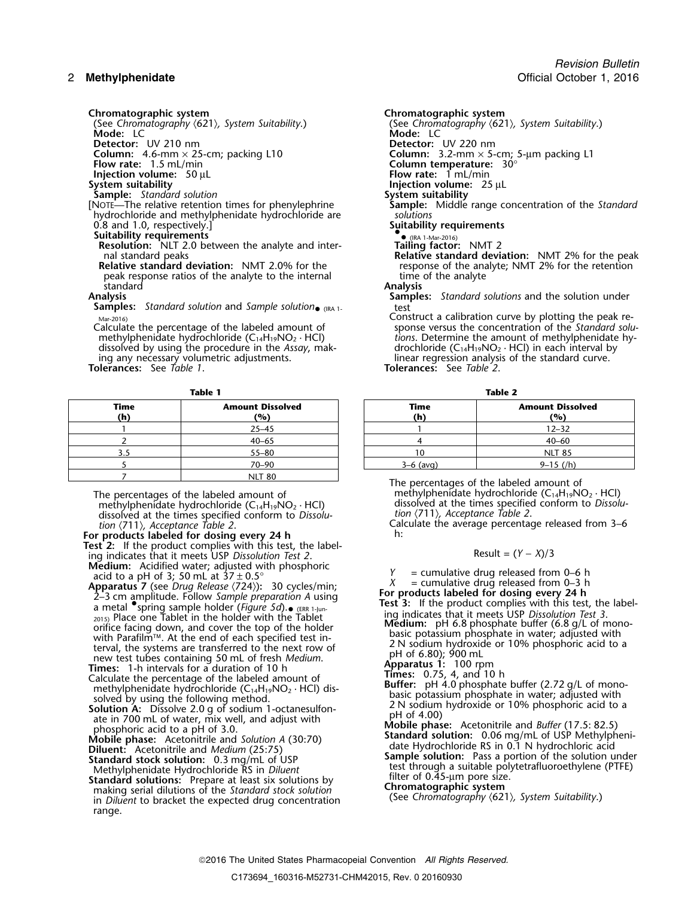**Mode:** LC **Mode:** LC

**Injection volume:** 50 µL<br>**System suitability** 

[NOTE—The relative retention times for phenylephrine **Sample:** Middle range concentration of the *Standard* hydrochloride and methylphenidate hydrochloride are *solutions* 0.8 and 1.0, respectively.]

**Suitability requirements** •. **Resolution:** NLT 2.0 between the analyte and inter- **Tailing factor:** NMT 2

peak response ratios of the analyte to the internal<br>standard standard **Analysis**

**Samples:** *Standard solution* and *Sample solution*• (IRA 1- test

Calculate the percentage of the labeled amount of methylphenidate hydrochloride (C<sub>14</sub>H<sub>19</sub>NO<sub>2</sub> · HCl) dissolved by using the procedure in the *Assay*, making any necessary volumetric adjustments.

**Tolerances:** See *Table 1*. **Tolerances:** See *Table 2*.

| <b>Time</b><br>(h) | <b>Amount Dissolved</b><br>(9) | Time<br>(h) | <b>Amount Disse</b><br>(%) |
|--------------------|--------------------------------|-------------|----------------------------|
|                    | $25 - 45$                      |             | $12 - 32$                  |
|                    | $40 - 65$                      |             | $40 - 60$                  |
| 3.5                | $55 - 80$                      |             | <b>NLT 85</b>              |
|                    | $70 - 90$                      | $3-6$ (avg) | $9 - 15$ (/h)              |
|                    | NIT 80                         |             |                            |

methylphenidate hydrochloride (C<sub>14</sub>H<sub>19</sub>NO<sub>2</sub> · HCl) dissolved at the times specified conform to *Dissolu-* tion (711), *Acceptance Table 2*. dissolved at the times specified conform to *Dissolu- tion* 〈711〉*, Acceptance Table 2*.

**For products labeled for dosing every 24 h** h: **Test 2:** If the product complies with this test, the labeling indicates that it meets USP *Dissolution Test 2*. Result =  $(Y - X)/3$ <br>Medium: Acidified water; adjusted with phosphoric  $Y = \text{cumulative drug released for } Y$ 

Apparatus 7 (see Drug Release (724)): 30 cycles/min;<br>
Apparatus 7 (see Drug Release (724)): 30 cycles/min;<br>
2-3 cm amplitude. Follow Sample preparation A using<br>
a metal  $\bullet$  spring sample holder (Figure 5d). (ERR 1-Jun-<br> a metal spring sample holder (righter surface of the Tablet<br>
2015) Place one Tablet in the holder with the Tablet<br>
orifice facing down, and cover the top of the holder **Medium:** pH 6.8 phosphate buffer (6.8 g/L of mono-<br>
b with Parafilm<sup>TM</sup>. At the end of each specified test in-<br>terval, the systems are transferred to the next row of the properties of the systems are transferred to the next row of<br>new test tubes containing 50 mL of fresh *Me* **The Example 1-h intervals for a duration of 10 h intervals for a duration of 10 h intervals for a duration of 10 h intervals for a duration of 10 h intervals for a duration of**  $\alpha$  **and 10 h**  $\alpha$  **and 10 h**  $\alpha$  **and 10 h \alpha** 

Calculate the percentage of the labeled amount of<br>methylphenidate hydrochloride  $(C_{14}H_{19}NO_2 \cdot HC)$  dis-<br>basic potasium phosphate in water adjusted with

making serial dilutions of the *Standard stock solution* **Chromatographic system** in *Diluent* to bracket the expected drug concentration range.

**Chromatographic system**<br>
(See Chromatography  $\langle 621 \rangle$ , System Suitability.) **Chromatography (621)** (See *Chromatography* 〈621〉*, System Suitability*.) (See *Chromatography* 〈621〉*, System Suitability*.) **Detector:** UV 210 nm **Detector:** UV 220 nm **Column:** 4.6-mm × 25-cm; packing L10 **Column:** 3.2-mm × 5-cm; 5-µm packing L1 **Folumn:** 4.6-mm × 25-cm; packing L10 **Column:** 3.2-mm × 5-cm;<br> **Flow rate:** 1.5 mL/min **Column temperature:** 30°<br> **Injection volume:** 50 µL **Flow rate:** 1 mL/min **Injection volume:** 25 µL<br>**System suitability Sample:** *Standard solution*<br>NOTE—The relative retention times for phenylephrine **Sample:** Middle range concentration of the *Standard* • (IRA 1-Mar-2016) nal standard peaks<br>**Relative standard deviation:** NMT 2.0% for the **Relative standard deviation:** NMT 2% for the peak<br>response of the analyte; NMT 2% for the retention response of the analyte; NMT 2% for the retention time of the analyte

**Samples:** *Standard solutions* and the solution under

Construct a calibration curve by plotting the peak response versus the concentration of the Standard solutions. Determine the amount of methylphenidate hy-<br>drochloride (C<sub>14</sub>H<sub>19</sub>NO<sub>2</sub> · HCl) in each interval by linear regression analysis of the standard curve.<br>**Tolerances:** See Table 2.

**Table 1 Table 2**

| Time<br>(h) | <b>Amount Dissolved</b><br>(%) | Time<br>(h) | <b>Amount Dissolved</b><br>(%) |
|-------------|--------------------------------|-------------|--------------------------------|
|             | $25 - 45$                      |             | $12 - 32$                      |
|             | $40 - 65$                      |             | $40 - 60$                      |
| 3.5         | $55 - 80$                      |             | <b>NLT 85</b>                  |
|             | $70 - 90$                      | $3-6$ (avg) | $9-15$ (/h)                    |

The percentages of the labeled amount of The percentages of the labeled amount of methylphenidate hydrochloride (C<sub>14</sub>H<sub>19</sub>NO<sub>2</sub> · HCl)<br>methylphenidate hydrochloride (C<sub>14</sub>H<sub>19</sub>NO<sub>2</sub> · HCl) dissolved at the times specified conform to *Dissolu*-

Calculate the average percentage released from 3–6<br>h:

Solution A: Dissolve by using the following method.<br>
Solution A: Dissolve 2.0 g of sodium 1-octanesulfon-<br>
ate in 700 mL of water, mix well, and adjust with<br>
phosphoric acid to a pH of 3.0.<br>
Mobile phase: Acetonitrile and

prospheric acid to a pH of 3.0.<br>
Mobile phase: Acetonitrile and *Solution* (25:75)<br>
Mobile phase: Acetonitrile and *Medium* (25:75)<br>
Standard solution: 0.06 mg/mL of USP Methylpheni-<br>
date Hydrochloride RS in 0.1 N hydroch Methylphenidate Hydrochloride RS in *Diluent* the standard a suitable polytetrafluoroethylene (PTFE)<br> **Standard solutions:** Prepare at least six solutions by the prepare at least six solutions: Prepare size.<br> **Standard sol**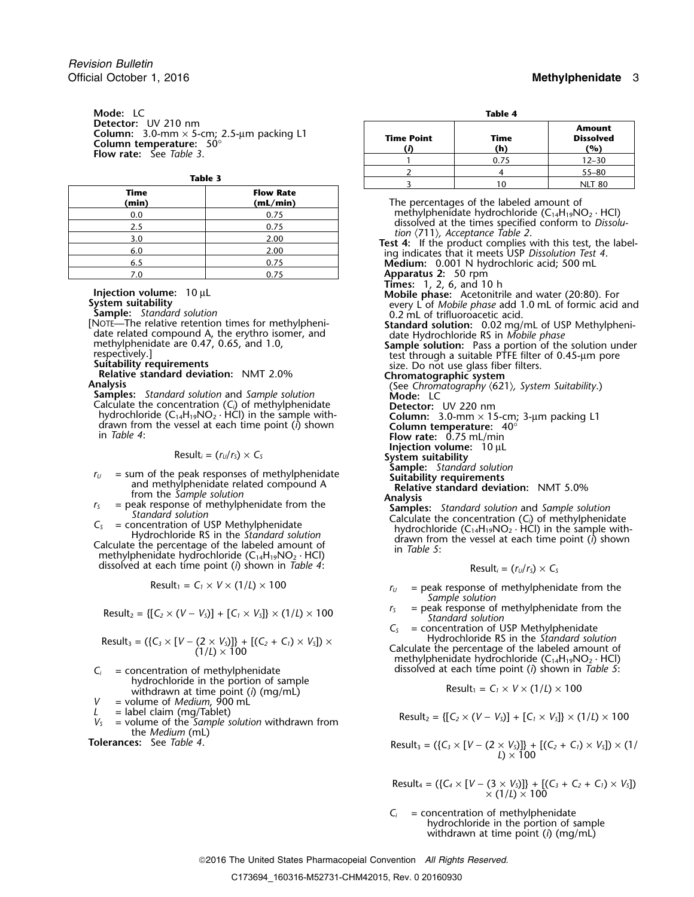**Mode:** LC **Table 4**<br> **Detector:** UV 210 nm Column:  $3.0$ -mm  $\times$  5-cm;  $2.5$ -µm packing L1<br>Column temperature:  $50^{\circ}$ <br>Flow rate: See *Table 3*.

| <b>Time</b><br>(min) | <b>Flow Rate</b><br>(mL/min) |
|----------------------|------------------------------|
| 0.0                  | 0.75                         |
| 2.5                  | 0.75                         |
| 3.0                  | 2.00                         |
| 6.0                  | 2.00                         |
| 6.5                  | 0.75                         |
| 7 በ                  | ሰ 75                         |

**Sample:** *Standard solution*<br>[NOTE—The relative retention times for methylpheni-<br>**Standard solution:** 0.02 ma/

- 
- Calculate the concentration  $(C_i)$  of methylphenidate<br>hydrochloride  $(C_{14}H_{19}NO_2 \cdot HCl)$  in the sample with-Calculate the concentration (C<sub>i</sub>) of methylphenidate<br>
hydrochloride (C<sub>14</sub>H<sub>19</sub>NO<sub>2</sub> · HCl) in the sample with-<br>
drawn from the vessel at each time point (i) shown<br>
in Table 4:<br> **Column temperature:** 40°<br> **Column tempera**

- 
- 
- dissolved at each time point (*i*) shown in *Table 4*:

$$
Result_1 = C_1 \times V \times (1/L) \times 100
$$

$$
Result_2 = \{ [C_2 \times (V - V_5)] + [C_1 \times V_5] \} \times (1/L) \times 100
$$

$$
Result_3 = (\{C_3 \times [V - (2 \times V_5)]\} + [(C_2 + C_1) \times V_5]) \times (1/L) \times 100
$$

- hydrochloride in the portion of sample withdrawn at time point (*i*) (mg/mL)
- *V* = volume of *Medium*, 900 mL<br>*L* = label claim (mg/Tablet)
- 
- $V_s$  = volume of the Sample solution withdrawn from the *Medium* (mL)

**Tolerances:** See *Table 4*.

| m<br>5-cm; $2.5$ -µm packing L1<br>e: 50° | <b>Time Point</b> | Time<br>(h) | <b>Amount</b><br><b>Dissolved</b><br>(%) |  |  |
|-------------------------------------------|-------------------|-------------|------------------------------------------|--|--|
| 23.                                       |                   | 0.75        | $12 - 30$                                |  |  |
|                                           |                   |             | $55 - 80$                                |  |  |
| Table 3                                   |                   | 10          | <b>NLT 80</b>                            |  |  |

**(min) (mL/min)** The percentages of the labeled amount of methylphenidate hydrochloride ( $C_{14}H_{19}NO_2 \cdot HCl$ ) dissolved at the times specified conform to *Dissolu*tion (711), Acceptance Table 2.<br>Test 4: If the product complies with this test, the label-<br>ing indicates that it meets USP Dissolution Test 4. Medium: 0.001 N hydrochloric acid; 500 mL **Apparatus 2:** 50 rpm<br>**Times:** 1, 2, 6, and 10 h **The Injection volume:** 10 µL **Injection volume:** 10 µL **System suitability** every L of *Mobile phase*: Acetonitrile and water (20:80). For every L of *Mobile phase* add 1.0 mL of formic acid and **Sample:** *Standard soluti* NOTE—The relative retention times for methylpheni-<br>date related compound A, the erythro isomer, and<br>methylphenidate are 0.47, 0.65, and 1.0,<br>respectively.]<br>methylphenidate are 0.47, 0.65, and 1.0,<br>respectively.]<br>sample sol methylphenidate are 0.47, 0.65, and 1.0,<br>
respectively.]<br>
Sample solution: Pass a portion of the solution under<br>
respectively.]<br>
Suitability requirements<br>
Relative standard deviation: NMT 2.0%<br>
Analysis<br>
Samples: Standard **Injection volume:**  $10 \mu L$ <br>Result<sub>i</sub> = ( $r_U/r_S$ ) × C<sub>S</sub> **System suitability Sample:** *Standard solution*  $r_0$  = sum of the peak responses of methylphenidate<br>and methylphenidate related compound A<br>from the *Sample solution*<br> $r_5$  = peak response of methylphenidate from the<br>*Samples: Samples: Samples: Samples: Sample* 

$$
Result_i = (r_U/r_S) \times C_S
$$

- $r_U$  = peak response of methylphenidate from the *Sample solution*
- *r*<sub>*S*</sub> = peak response of methylphenidate from the Standard solution

 $C<sub>S</sub>$  = concentration of USP Methylphenidate<br>Hydrochloride RS in the *Standard solution* 

Calculate the percentage of the labeled amount of<br>methylphenidate hydrochloride  $(C_{14}H_{19}NO_2 \cdot HCl)$ *C*<sub>i</sub> = concentration of methylphenidate dissolved at each time point (*i*) shown in *Table 5*:

$$
Result_1 = C_1 \times V \times (1/L) \times 100
$$

Result<sub>2</sub> = {[
$$
C_2 \times (V - V_5)
$$
] + [ $C_1 \times V_5$ ]}  $\times$  (1/ $L$ )  $\times$  100

$$
Result_3 = (\{C_3 \times [V - (2 \times V_3)]\} + [(C_2 + C_1) \times V_3]) \times (1/
$$
  

$$
L) \times 100
$$

 $Result_4 = (\{C_4 \times [V - (3 \times V_5)]\} + [(C_3 + C_2 + C_1) \times V_5])$  $\times$  (1/*L*)  $\times$  100

 $C_i$  = concentration of methylphenidate hydrochloride in the portion of sample withdrawn at time point (*i*) (mg/mL)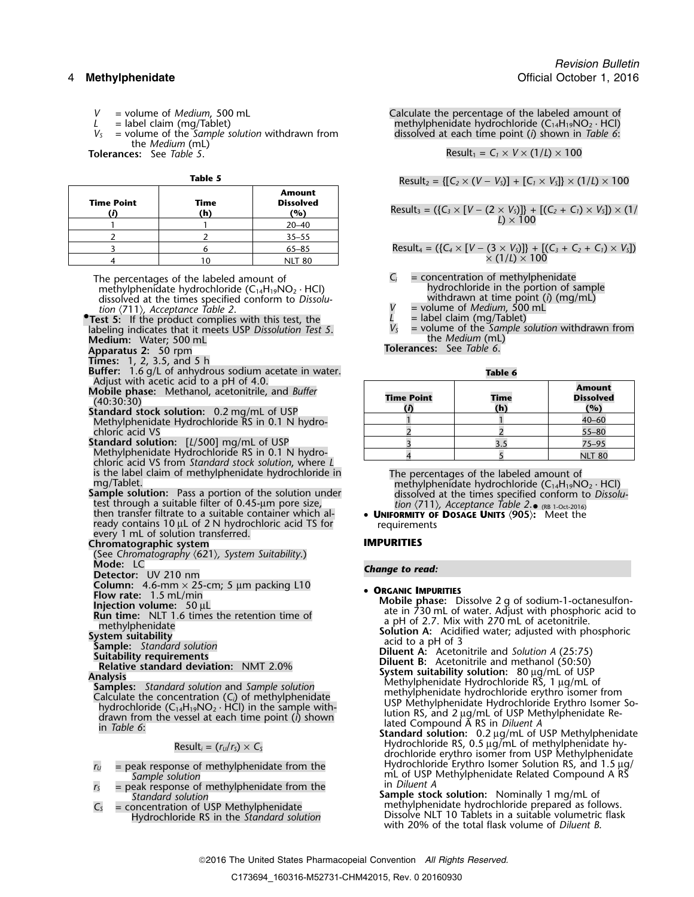- 
- 
- the *Medium* (mL)<br>**Tolerances:** See *Table 5*.

| <b>Time Point</b> | Time | <b>Amount</b><br><b>Dissolved</b> | Result <sub>3</sub> = ({C <sub>3</sub> × [V – (2 × V <sub>S</sub> )]} + [(C <sub>2</sub> + C <sub>1</sub> ) × V <sub>S</sub> ]) × (1/ |
|-------------------|------|-----------------------------------|---------------------------------------------------------------------------------------------------------------------------------------|
|                   | (h)  | (%)                               | $L \times 100$                                                                                                                        |
|                   |      | $20 - 40$                         |                                                                                                                                       |
|                   |      | $35 - 55$                         |                                                                                                                                       |
|                   |      | $65 - 85$                         | Result <sub>4</sub> = $({C_4} \times [V - (3 \times V_S)]) + [(C_3 + C_2 + C_1) \times V_S])$                                         |
|                   |      | <b>NIT 80</b>                     | $\times$ (1/L) $\times$ 100                                                                                                           |

The percentages of the labeled amount of **C**<sub>*i*</sub>  $\overline{C}$  = concentration of methylphenidate and methylphenidate hydrochloride in the portion of sample methylphenidate hydrochloride in the portion of sample methylphenidate hydrochloride (C<sub>14</sub>H<sub>19</sub>NO<sub>2</sub> · HCl) hydrochloride in the portion of sample dissolved at the times specified conform to *Dissolu*<br>tion (711), *Acceptance Table 2*. The polynomial of Medium, 500 mL dissolved at the times specified conform to Dissolu-

- *tion* (711)*, Acceptance Table 2*. *V* = volume of *Medium*, 500 mL **• • 1 • 1 • 1 • 1 • 1 • 1 • 1 1 1 1 1 1 1 1 1 1 1 1** Test 5: If the product complies with this test, the *V<sub>S</sub>* = label claim (mg/Tablet)<br>labeling indicates that it meets USP *Dissolution Test 5*.  $V_s$  = volume of the *Sample solution* withdrawn from<br>**Medium**: Water: 500 **Medium:** the *Medium* (mL) Water; 500 mL
- 
- **Times:** 1, 2, 3.5, and 5 h
- **Buffer:** 1.6 g/L of anhydrous sodium acetate in water. **Table 6**
- Adjust with acetic acid to a pH of 4.0.
- Mobile phase: Methanol, acetonitrile, and Buffer (40:30:30)<br>Standard stock solution: 0.2 mg/mL of USP Methylphenidate Hydrochloride RS in 0.1 N hydrochloric acid VS
- **Standard solution:** [L/500] mg/mL of USP Methylphenidate Hydrochloride RS in 0.1 N hydrochloric acid VS from *Standard stock solution*, where *L* is the label claim of methylphenidate hydrochloride in
- test through a suitable filter of 0.45-µm pore size, then transfer filtrate to a suitable container which al- •ready contains 10 µL of 2 N hydrochloric acid TS for requirements every 1 mL of solution transferred.

**Chromatographic system IMPURITIES**

(See *Chromatography* 〈621〉*, System Suitability*.) **Mode:** LC *Change to read:* **Detector:** UV 210 nm

**Column:** 4.6-mm × 25-cm; 5 µm packing L10 **• ORGANIC IMPURITIES**<br>Flow rate: 1.5 mL/min

- 
- 

Calculate the concentration (C<sub>i</sub>) of methylphenidate<br>
hydrochloride erythro isomer from<br>
hydrochloride (C<sub>14</sub>H<sub>19</sub>NO<sub>2</sub> · HCl) in the sample with-<br>
drawn from the vessel at each time point (i) shown<br>
in Table 6:<br>
Result

- 
- $r_s$  = peak response of methylphenidate from the *Standard solution*
- Hydrochloride RS in the Standard solution

*V* = volume of *Medium*, 500 mL Calculate the percentage of the labeled amount of  $L =$  label claim (mg/Tablet) discreption of the labeled amount of the labeled amount of the labeled amount of the labeled amount of the lab *L* = label claim (mg/Tablet)<br>  $V_s$  = volume of the *Sample solution* withdrawn from dissolved at each time point (*i*) shown in Table 6: *dissolved at each time point (i) shown in Table 6:* 

 $\text{Result}_1 = C_1 \times V \times (1/L) \times 100$ 

**Table 5** 
$$
Result_2 = \{ [C_2 \times (V - V_5)] + [C_1 \times V_5] \} \times (1/L) \times 100
$$

Result<sub>3</sub> = (
$$
{C_3 \times [V - (2 \times V_5)]}
$$
 +  $[(C_2 + C_1) \times V_5]$ ) × (1/  
L) × 100

 $\{$ Result<sub>4</sub> = ({ $C_4 \times [V - (3 \times V_S)]$ } + [ $(C_3 + C_2 + C_1) \times V_S$ ])  $\chi$  (1/*L*)  $\chi$  100

- 
- 
- 
- 

**Apparatus 2:** 50 rpm **biased by Equation 2. 50 rpm Tolerances:** See Table 6.

| <b>Time Point</b> | Time<br>(h) | <b>Amount</b><br><b>Dissolved</b><br>(%) |
|-------------------|-------------|------------------------------------------|
|                   |             | $40 - 60$                                |
|                   |             | $55 - 80$                                |
|                   |             | $75 - 95$                                |
|                   |             | <b>NLT 80</b>                            |

is the label claim of methylphenidate hydrochloride in The percentages of the labeled amount of<br>mg/Tablet.<br>**Sample solution:** Pass a portion of the solution under dissolved at the times specified conform to *Dissolu*-• (RB 1-Oct-2016)

**UNIFORMITY OF DOSAGE UNITS** 〈**905**〉**:** Meet the

**Example the Control of the Control of Control of the Control of Control of the Control of Control of the Control of Control of Control of Control of Control of Control of Control of Control of Control of Control of Contr** methylphenidate<br>methylphenidate a pH of 2.7. Mix with 270 mL of acetonitrile.<br>Solution A: Acidified water; adjusted with phosphoric<br>System suitability

- 
- 

System suitability<br>
Sample: Standard solution<br>
Suitability requirements<br>
Relative standard deviation: NMT 2.0%<br>
Analysis<br>
Samples: Standard solution and Sample solution<br>
Samples: Standard solution and Sample solution<br>
Samp

- Hydrochloride RS, 0.5 <sup>µ</sup>g/mL of methylphenidate hy- Result*<sup>i</sup>* = (*<sup>r</sup>U*/*<sup>r</sup>S*) <sup>×</sup> *<sup>C</sup><sup>S</sup>* drochloride erythro isomer from USP Methylphenidate Hydrochloride Erythro Isomer Solution RS, and 1.5 <sup>µ</sup>g/ *<sup>r</sup><sup>U</sup>* = peak response of methylphenidate from the mL of USP Methylphenidate Related Compound A RS<br>in *Diluent A*
- *Standard solution* **Sample stock solution:** Nominally 1 mg/mL of *C<sub>S</sub>* = concentration of USP Methylphenidate methylphenidate hydrochloride prepared as follows.<br>Hydrochloride RS in the *Standard solution* **Standard Dissolve NLT 10** Tablets in a suitable volumetric flask with 20% of the total flask volume of *Diluent B*.

2016 The United States Pharmacopeial Convention *All Rights Reserved.*